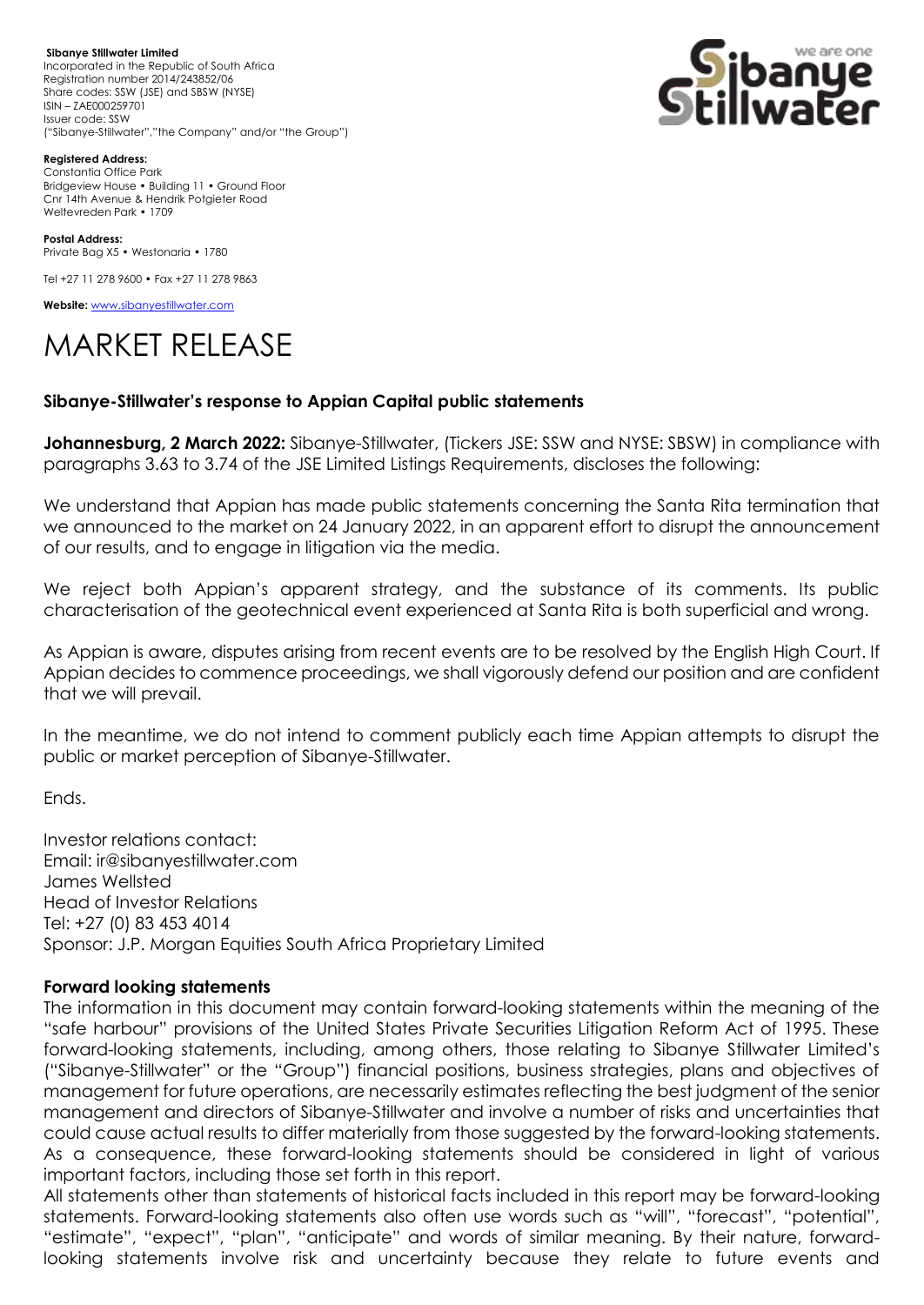**Sibanye Stillwater Limited**  Incorporated in the Republic of South Africa Registration number 2014/243852/06 Share codes: SSW (JSE) and SBSW (NYSE) ISIN – ZAE000259701 Issuer code: SSW ("Sibanye-Stillwater","the Company" and/or "the Group")



**Registered Address:**

Constantia Office Park Bridgeview House • Building 11 • Ground Floor Cnr 14th Avenue & Hendrik Potgieter Road Weltevreden Park • 1709

**Postal Address:** Private Bag X5 • Westonaria • 1780

Tel +27 11 278 9600 • Fax +27 11 278 9863

**Website:** [www.sibanyestillwater.com](http://www.sibanyestillwater.com/)

## MARKET RELEASE

## **Sibanye-Stillwater's response to Appian Capital public statements**

**Johannesburg, 2 March 2022:** Sibanye-Stillwater, (Tickers JSE: SSW and NYSE: SBSW) in compliance with paragraphs 3.63 to 3.74 of the JSE Limited Listings Requirements, discloses the following:

We understand that Appian has made public statements concerning the Santa Rita termination that we announced to the market on 24 January 2022, in an apparent effort to disrupt the announcement of our results, and to engage in litigation via the media.

We reject both Appian's apparent strategy, and the substance of its comments. Its public characterisation of the geotechnical event experienced at Santa Rita is both superficial and wrong.

As Appian is aware, disputes arising from recent events are to be resolved by the English High Court. If Appian decides to commence proceedings, we shall vigorously defend our position and are confident that we will prevail.

In the meantime, we do not intend to comment publicly each time Appian attempts to disrupt the public or market perception of Sibanye-Stillwater.

Ends.

Investor relations contact: Email: ir@sibanyestillwater.com James Wellsted Head of Investor Relations Tel: +27 (0) 83 453 4014 Sponsor: J.P. Morgan Equities South Africa Proprietary Limited

## **Forward looking statements**

The information in this document may contain forward-looking statements within the meaning of the "safe harbour" provisions of the United States Private Securities Litigation Reform Act of 1995. These forward-looking statements, including, among others, those relating to Sibanye Stillwater Limited's ("Sibanye-Stillwater" or the "Group") financial positions, business strategies, plans and objectives of management for future operations, are necessarily estimates reflecting the best judgment of the senior management and directors of Sibanye-Stillwater and involve a number of risks and uncertainties that could cause actual results to differ materially from those suggested by the forward-looking statements. As a consequence, these forward-looking statements should be considered in light of various important factors, including those set forth in this report.

All statements other than statements of historical facts included in this report may be forward-looking statements. Forward-looking statements also often use words such as "will", "forecast", "potential", "estimate", "expect", "plan", "anticipate" and words of similar meaning. By their nature, forwardlooking statements involve risk and uncertainty because they relate to future events and